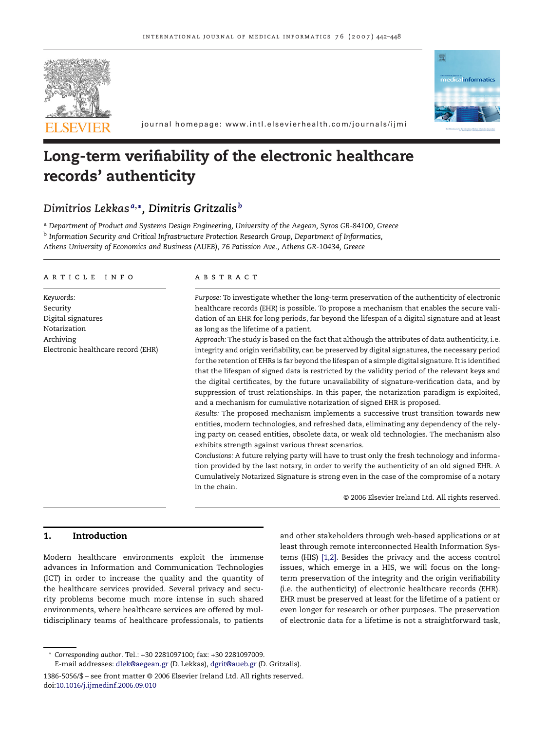



journal homepage: www.intl.elsevierhealth.com/journals/ijmi

# **Long-term verifiability of the electronic healthcare records' authenticity**

# *Dimitrios Lekkas <sup>a</sup>***,∗***, Dimitris Gritzalis <sup>b</sup>*

<sup>a</sup> *Department of Product and Systems Design Engineering, University of the Aegean, Syros GR-84100, Greece* <sup>b</sup> *Information Security and Critical Infrastructure Protection Research Group, Department of Informatics, Athens University of Economics and Business (AUEB), 76 Patission Ave., Athens GR-10434, Greece*

#### article info

*Keywords:* Security Digital signatures Notarization Archiving Electronic healthcare record (EHR)

#### **ABSTRACT**

*Purpose:* To investigate whether the long-term preservation of the authenticity of electronic healthcare records (EHR) is possible. To propose a mechanism that enables the secure validation of an EHR for long periods, far beyond the lifespan of a digital signature and at least as long as the lifetime of a patient.

*Approach:* The study is based on the fact that although the attributes of data authenticity, i.e. integrity and origin verifiability, can be preserved by digital signatures, the necessary period for the retention of EHRs is far beyond the lifespan of a simple digital signature. It is identified that the lifespan of signed data is restricted by the validity period of the relevant keys and the digital certificates, by the future unavailability of signature-verification data, and by suppression of trust relationships. In this paper, the notarization paradigm is exploited, and a mechanism for cumulative notarization of signed EHR is proposed.

*Results:* The proposed mechanism implements a successive trust transition towards new entities, modern technologies, and refreshed data, eliminating any dependency of the relying party on ceased entities, obsolete data, or weak old technologies. The mechanism also exhibits strength against various threat scenarios.

*Conclusions:* A future relying party will have to trust only the fresh technology and information provided by the last notary, in order to verify the authenticity of an old signed EHR. A Cumulatively Notarized Signature is strong even in the case of the compromise of a notary in the chain.

© 2006 Elsevier Ireland Ltd. All rights reserved.

# **1. Introduction**

Modern healthcare environments exploit the immense advances in Information and Communication Technologies (ICT) in order to increase the quality and the quantity of the healthcare services provided. Several privacy and security problems become much more intense in such shared environments, where healthcare services are offered by multidisciplinary teams of healthcare professionals, to patients

and other stakeholders through web-based applications or at least through remote interconnected Health Information Systems (HIS) [\[1,2\].](#page-6-0) Besides the privacy and the access control issues, which emerge in a HIS, we will focus on the longterm preservation of the integrity and the origin verifiability (i.e. the authenticity) of electronic healthcare records (EHR). EHR must be preserved at least for the lifetime of a patient or even longer for research or other purposes. The preservation of electronic data for a lifetime is not a straightforward task,

<sup>∗</sup> *Corresponding author*. Tel.: +30 2281097100; fax: +30 2281097009.

E-mail addresses: [dlek@aegean.gr](mailto:dlek@aegean.gr) (D. Lekkas), [dgrit@aueb.gr](mailto:dgrit@aueb.gr) (D. Gritzalis).

<sup>1386-5056/\$ –</sup> see front matter © 2006 Elsevier Ireland Ltd. All rights reserved. doi:[10.1016/j.ijmedinf.2006.09.010](dx.doi.org/10.1016/j.ijmedinf.2006.09.010)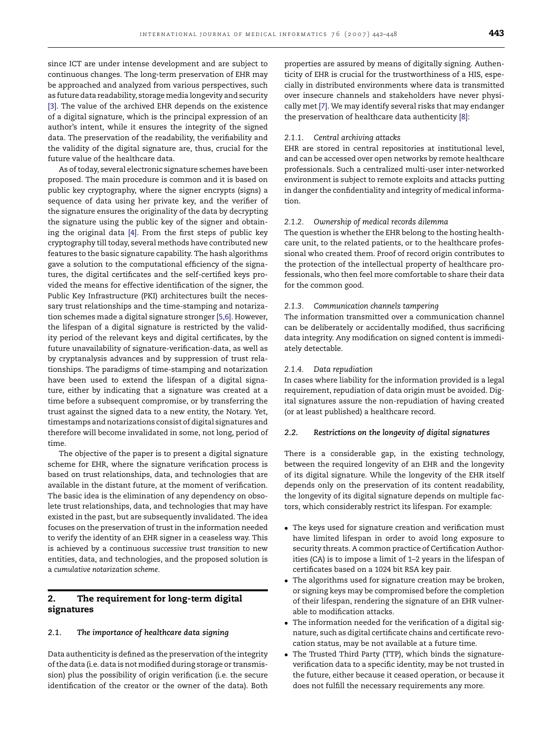since ICT are under intense development and are subject to continuous changes. The long-term preservation of EHR may be approached and analyzed from various perspectives, such as future data readability, storage media longevity and security [\[3\].](#page-6-0) The value of the archived EHR depends on the existence of a digital signature, which is the principal expression of an author's intent, while it ensures the integrity of the signed data. The preservation of the readability, the verifiability and the validity of the digital signature are, thus, crucial for the future value of the healthcare data.

As of today, several electronic signature schemes have been proposed. The main procedure is common and it is based on public key cryptography, where the signer encrypts (signs) a sequence of data using her private key, and the verifier of the signature ensures the originality of the data by decrypting the signature using the public key of the signer and obtaining the original data [\[4\].](#page-6-0) From the first steps of public key cryptography till today, several methods have contributed new features to the basic signature capability. The hash algorithms gave a solution to the computational efficiency of the signatures, the digital certificates and the self-certified keys provided the means for effective identification of the signer, the Public Key Infrastructure (PKI) architectures built the necessary trust relationships and the time-stamping and notarization schemes made a digital signature stronger [\[5,6\]. H](#page-6-0)owever, the lifespan of a digital signature is restricted by the validity period of the relevant keys and digital certificates, by the future unavailability of signature-verification-data, as well as by cryptanalysis advances and by suppression of trust relationships. The paradigms of time-stamping and notarization have been used to extend the lifespan of a digital signature, either by indicating that a signature was created at a time before a subsequent compromise, or by transferring the trust against the signed data to a new entity, the Notary. Yet, timestamps and notarizations consist of digital signatures and therefore will become invalidated in some, not long, period of time.

The objective of the paper is to present a digital signature scheme for EHR, where the signature verification process is based on trust relationships, data, and technologies that are available in the distant future, at the moment of verification. The basic idea is the elimination of any dependency on obsolete trust relationships, data, and technologies that may have existed in the past, but are subsequently invalidated. The idea focuses on the preservation of trust in the information needed to verify the identity of an EHR signer in a ceaseless way. This is achieved by a continuous *successive trust transition* to new entities, data, and technologies, and the proposed solution is a *cumulative notarization scheme*.

# **2. The requirement for long-term digital signatures**

# *2.1. The importance of healthcare data signing*

Data authenticity is defined as the preservation of the integrity of the data (i.e. data is not modified during storage or transmission) plus the possibility of origin verification (i.e. the secure identification of the creator or the owner of the data). Both properties are assured by means of digitally signing. Authenticity of EHR is crucial for the trustworthiness of a HIS, especially in distributed environments where data is transmitted over insecure channels and stakeholders have never physically met [\[7\]. W](#page-6-0)e may identify several risks that may endanger the preservation of healthcare data authenticity [\[8\]:](#page-6-0)

# *2.1.1. Central archiving attacks*

EHR are stored in central repositories at institutional level, and can be accessed over open networks by remote healthcare professionals. Such a centralized multi-user inter-networked environment is subject to remote exploits and attacks putting in danger the confidentiality and integrity of medical information.

# *2.1.2. Ownership of medical records dilemma*

The question is whether the EHR belong to the hosting healthcare unit, to the related patients, or to the healthcare professional who created them. Proof of record origin contributes to the protection of the intellectual property of healthcare professionals, who then feel more comfortable to share their data for the common good.

# *2.1.3. Communication channels tampering*

The information transmitted over a communication channel can be deliberately or accidentally modified, thus sacrificing data integrity. Any modification on signed content is immediately detectable.

#### *2.1.4. Data repudiation*

In cases where liability for the information provided is a legal requirement, repudiation of data origin must be avoided. Digital signatures assure the non-repudiation of having created (or at least published) a healthcare record.

#### *2.2. Restrictions on the longevity of digital signatures*

There is a considerable gap, in the existing technology, between the required longevity of an EHR and the longevity of its digital signature. While the longevity of the EHR itself depends only on the preservation of its content readability, the longevity of its digital signature depends on multiple factors, which considerably restrict its lifespan. For example:

- The keys used for signature creation and verification must have limited lifespan in order to avoid long exposure to security threats. A common practice of Certification Authorities (CA) is to impose a limit of 1–2 years in the lifespan of certificates based on a 1024 bit RSA key pair.
- The algorithms used for signature creation may be broken, or signing keys may be compromised before the completion of their lifespan, rendering the signature of an EHR vulnerable to modification attacks.
- The information needed for the verification of a digital signature, such as digital certificate chains and certificate revocation status, may be not available at a future time.
- The Trusted Third Party (TTP), which binds the signatureverification data to a specific identity, may be not trusted in the future, either because it ceased operation, or because it does not fulfill the necessary requirements any more.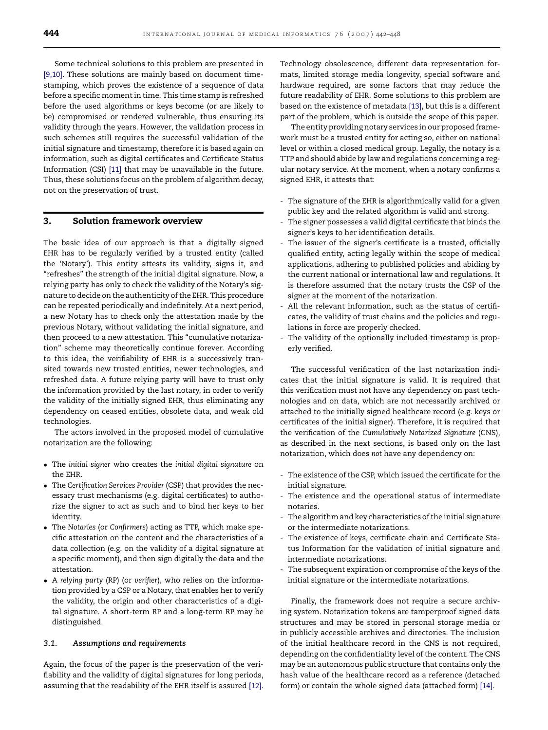<span id="page-2-0"></span>Some technical solutions to this problem are presented in [\[9,10\].](#page-6-0) These solutions are mainly based on document timestamping, which proves the existence of a sequence of data before a specific moment in time. This time stamp is refreshed before the used algorithms or keys become (or are likely to be) compromised or rendered vulnerable, thus ensuring its validity through the years. However, the validation process in such schemes still requires the successful validation of the initial signature and timestamp, therefore it is based again on information, such as digital certificates and Certificate Status Information (CSI) [\[11\]](#page-6-0) that may be unavailable in the future. Thus, these solutions focus on the problem of algorithm decay, not on the preservation of trust.

#### **3. Solution framework overview**

The basic idea of our approach is that a digitally signed EHR has to be regularly verified by a trusted entity (called the 'Notary'). This entity attests its validity, signs it, and "refreshes" the strength of the initial digital signature. Now, a relying party has only to check the validity of the Notary's signature to decide on the authenticity of the EHR. This procedure can be repeated periodically and indefinitely. At a next period, a new Notary has to check only the attestation made by the previous Notary, without validating the initial signature, and then proceed to a new attestation. This "cumulative notarization" scheme may theoretically continue forever. According to this idea, the verifiability of EHR is a successively transited towards new trusted entities, newer technologies, and refreshed data. A future relying party will have to trust only the information provided by the last notary, in order to verify the validity of the initially signed EHR, thus eliminating any dependency on ceased entities, obsolete data, and weak old technologies.

The actors involved in the proposed model of cumulative notarization are the following:

- The *initial signer* who creates the *initial digital signature* on the EHR.
- The *Certification Services Provider* (CSP) that provides the necessary trust mechanisms (e.g. digital certificates) to authorize the signer to act as such and to bind her keys to her identity.
- The *Notaries* (or *Confirmers*) acting as TTP, which make specific attestation on the content and the characteristics of a data collection (e.g. on the validity of a digital signature at a specific moment), and then sign digitally the data and the attestation.
- A *relying party* (RP) (or *verifier*), who relies on the information provided by a CSP or a Notary, that enables her to verify the validity, the origin and other characteristics of a digital signature. A short-term RP and a long-term RP may be distinguished.

### *3.1. Assumptions and requirements*

Again, the focus of the paper is the preservation of the verifiability and the validity of digital signatures for long periods, assuming that the readability of the EHR itself is assured [\[12\].](#page-6-0)

Technology obsolescence, different data representation formats, limited storage media longevity, special software and hardware required, are some factors that may reduce the future readability of EHR. Some solutions to this problem are based on the existence of metadata [\[13\], b](#page-6-0)ut this is a different part of the problem, which is outside the scope of this paper.

The entity providing notary services in our proposed framework must be a trusted entity for acting so, either on national level or within a closed medical group. Legally, the notary is a TTP and should abide by law and regulations concerning a regular notary service. At the moment, when a notary confirms a signed EHR, it attests that:

- The signature of the EHR is algorithmically valid for a given public key and the related algorithm is valid and strong.
- The signer possesses a valid digital certificate that binds the signer's keys to her identification details.
- The issuer of the signer's certificate is a trusted, officially qualified entity, acting legally within the scope of medical applications, adhering to published policies and abiding by the current national or international law and regulations. It is therefore assumed that the notary trusts the CSP of the signer at the moment of the notarization.
- All the relevant information, such as the status of certificates, the validity of trust chains and the policies and regulations in force are properly checked.
- The validity of the optionally included timestamp is properly verified.

The successful verification of the last notarization indicates that the initial signature is valid. It is required that this verification must not have any dependency on past technologies and on data, which are not necessarily archived or attached to the initially signed healthcare record (e.g. keys or certificates of the initial signer). Therefore, it is required that the verification of the *Cumulatively Notarized Signature* (CNS), as described in the next sections, is based only on the last notarization, which does *not* have any dependency on:

- The existence of the CSP, which issued the certificate for the initial signature.
- The existence and the operational status of intermediate notaries.
- The algorithm and key characteristics of the initial signature or the intermediate notarizations.
- The existence of keys, certificate chain and Certificate Status Information for the validation of initial signature and intermediate notarizations.
- The subsequent expiration or compromise of the keys of the initial signature or the intermediate notarizations.

Finally, the framework does not require a secure archiving system. Notarization tokens are tamperproof signed data structures and may be stored in personal storage media or in publicly accessible archives and directories. The inclusion of the initial healthcare record in the CNS is not required, depending on the confidentiality level of the content. The CNS may be an autonomous public structure that contains only the hash value of the healthcare record as a reference (detached form) or contain the whole signed data (attached form) [\[14\].](#page-6-0)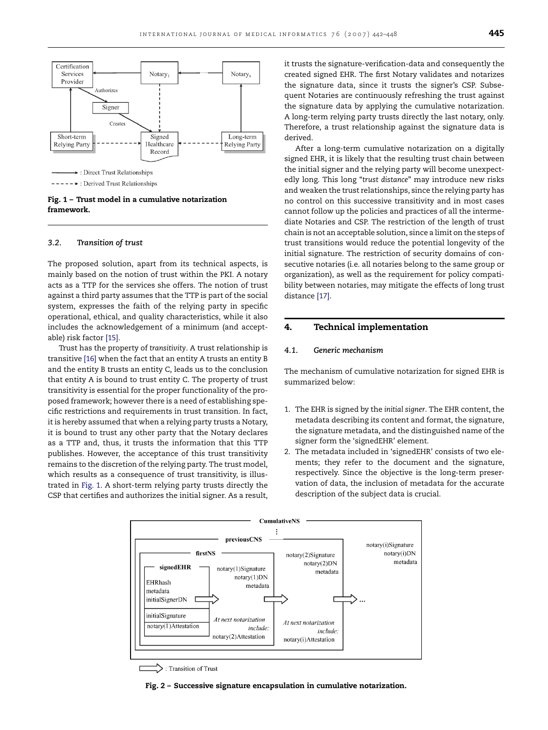<span id="page-3-0"></span>

------ >: Derived Trust Relationships

**Fig. 1 – Trust model in a cumulative notarization framework.**

#### *3.2. Transition of trust*

The proposed solution, apart from its technical aspects, is mainly based on the notion of trust within the PKI. A notary acts as a TTP for the services she offers. The notion of trust against a third party assumes that the TTP is part of the social system, expresses the faith of the relying party in specific operational, ethical, and quality characteristics, while it also includes the acknowledgement of a minimum (and acceptable) risk factor [\[15\].](#page-6-0)

Trust has the property of *transitivity*. A trust relationship is transitive [\[16\]](#page-6-0) when the fact that an entity A trusts an entity B and the entity B trusts an entity C, leads us to the conclusion that entity A is bound to trust entity C. The property of trust transitivity is essential for the proper functionality of the proposed framework; however there is a need of establishing specific restrictions and requirements in trust transition. In fact, it is hereby assumed that when a relying party trusts a Notary, it is bound to trust any other party that the Notary declares as a TTP and, thus, it trusts the information that this TTP publishes. However, the acceptance of this trust transitivity remains to the discretion of the relying party. The trust model, which results as a consequence of trust transitivity, is illustrated in Fig. 1. A short-term relying party trusts directly the CSP that certifies and authorizes the initial signer. As a result, it trusts the signature-verification-data and consequently the created signed EHR. The first Notary validates and notarizes the signature data, since it trusts the signer's CSP. Subsequent Notaries are continuously refreshing the trust against the signature data by applying the cumulative notarization. A long-term relying party trusts directly the last notary, only. Therefore, a trust relationship against the signature data is derived.

After a long-term cumulative notarization on a digitally signed EHR, it is likely that the resulting trust chain between the initial signer and the relying party will become unexpectedly long. This long "*trust distance*" may introduce new risks and weaken the trust relationships, since the relying party has no control on this successive transitivity and in most cases cannot follow up the policies and practices of all the intermediate Notaries and CSP. The restriction of the length of trust chain is not an acceptable solution, since a limit on the steps of trust transitions would reduce the potential longevity of the initial signature. The restriction of security domains of consecutive notaries (i.e. all notaries belong to the same group or organization), as well as the requirement for policy compatibility between notaries, may mitigate the effects of long trust distance [\[17\].](#page-6-0)

# **4. Technical implementation**

#### *4.1. Generic mechanism*

The mechanism of cumulative notarization for signed EHR is summarized below:

- 1. The EHR is signed by the *initial signer*. The EHR content, the metadata describing its content and format, the signature, the signature metadata, and the distinguished name of the signer form the 'signedEHR' element.
- 2. The metadata included in 'signedEHR' consists of two elements; they refer to the document and the signature, respectively. Since the objective is the long-term preservation of data, the inclusion of metadata for the accurate description of the subject data is crucial.



: Transition of Trust

**Fig. 2 – Successive signature encapsulation in cumulative notarization.**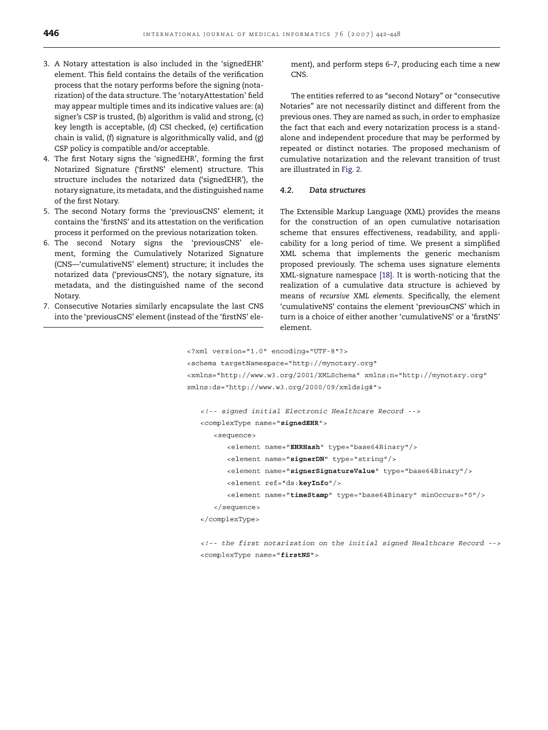- 3. A Notary attestation is also included in the 'signedEHR' element. This field contains the details of the verification process that the notary performs before the signing (notarization) of the data structure. The 'notaryAttestation' field may appear multiple times and its indicative values are: (a) signer's CSP is trusted, (b) algorithm is valid and strong, (c) key length is acceptable, (d) CSI checked, (e) certification chain is valid, (f) signature is algorithmically valid, and (g) CSP policy is compatible and/or acceptable.
- 4. The first Notary signs the 'signedEHR', forming the first Notarized Signature ('firstNS' element) structure. This structure includes the notarized data ('signedEHR'), the notary signature, its metadata, and the distinguished name of the first Notary.
- 5. The second Notary forms the 'previousCNS' element; it contains the 'firstNS' and its attestation on the verification process it performed on the previous notarization token.
- 6. The second Notary signs the 'previousCNS' element, forming the Cumulatively Notarized Signature (CNS—'cumulativeNS' element) structure; it includes the notarized data ('previousCNS'), the notary signature, its metadata, and the distinguished name of the second Notary.
- 7. Consecutive Notaries similarly encapsulate the last CNS into the 'previousCNS' element (instead of the 'firstNS' ele-

ment), and perform steps 6–7, producing each time a new CNS.

The entities referred to as "second Notary" or "consecutive Notaries" are not necessarily distinct and different from the previous ones. They are named as such, in order to emphasize the fact that each and every notarization process is a standalone and independent procedure that may be performed by repeated or distinct notaries. The proposed mechanism of cumulative notarization and the relevant transition of trust are illustrated in [Fig. 2.](#page-3-0)

#### *4.2. Data structures*

The Extensible Markup Language (XML) provides the means for the construction of an open cumulative notarisation scheme that ensures effectiveness, readability, and applicability for a long period of time. We present a simplified XML schema that implements the generic mechanism proposed previously. The schema uses signature elements XML-signature namespace [\[18\].](#page-6-0) It is worth-noticing that the realization of a cumulative data structure is achieved by means of *recursive XML elements*. Specifically, the element 'cumulativeNS' contains the element 'previousCNS' which in turn is a choice of either another 'cumulativeNS' or a 'firstNS' element.

```
<?xml version="1.0" encoding="UTF-8"?>
```

```
<schema targetNamespace="http://mynotary.org"
<xmlns="http://www.w3.org/2001/XMLSchema" xmlns:n="http://mynotary.org"
xmlns:ds="http://www.w3.org/2000/09/xmldsig#">
   <!-- signed initial Electronic Healthcare Record -->
   <complexType name="signedEHR">
      <sequence>
         <element name="EHRHash" type="base64Binary"/>
         <element name="signerDN" type="string"/>
         <element name="signerSignatureValue" type="base64Binary"/>
         <element ref="ds:keyInfo"/>
```

```
<element name="timeStamp" type="base64Binary" minOccurs="0"/>
```

```
</sequence>
```
</complexType>

<!-- the first notarization on the initial signed Healthcare Record --> <complexType name="firstNS">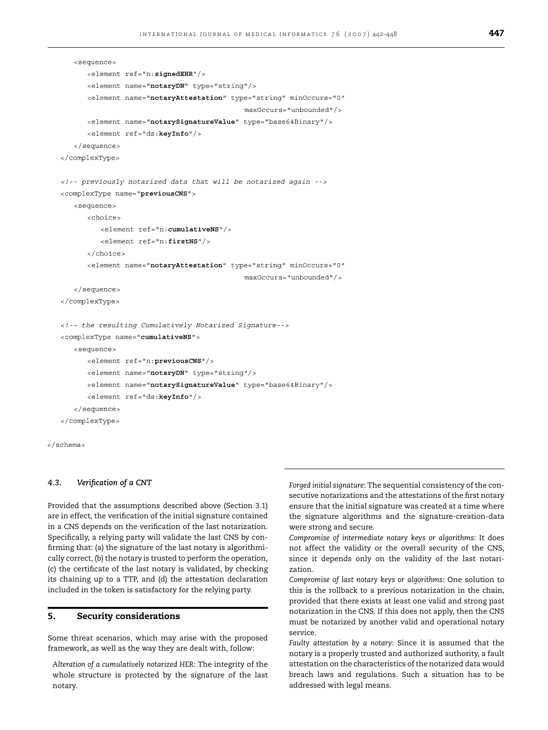```
<sequence>
      <element ref="n:signedEHR"/>
      <element name="notaryDN" type="string"/>
      <element name="notaryAttestation" type="string" minOccurs="0"
                                            maxOccurs="unbounded"/>
      <element name="notarySignatureValue" type="base64Binary"/>
      <element ref="ds:keyInfo"/>
   </sequence>
</complexType>
<!-- previously notarized data that will be notarized again -->
<complexType name="previousCNS">
   <sequence>
      <choice>
         <element ref="n: cumulativeNS"/>
         <element ref="n:firstNS"/>
      </choice>
      <element name="notaryAttestation" type="string" minOccurs="0"
                                            maxOccurs="unbounded"/>
   </sequence>
</complexType>
<!-- the resulting Cumulatively Notarized Signature-->
<complexType name="cumulativeNS">
   <sequence>
      <element ref="n:previousCNS"/>
      <element name="notaryDN" type="string"/>
      <element name="notarySignatureValue" type="base64Binary"/>
      <element ref="ds:keyInfo"/>
   </sequence>
</complexType>
```
</schema>

#### *4.3. Verification of a CNT*

Provided that the assumptions described above (Section [3.1\)](#page-2-0) are in effect, the verification of the initial signature contained in a CNS depends on the verification of the last notarization. Specifically, a relying party will validate the last CNS by confirming that: (a) the signature of the last notary is algorithmically correct, (b) the notary is trusted to perform the operation, (c) the certificate of the last notary is validated, by checking its chaining up to a TTP, and (d) the attestation declaration included in the token is satisfactory for the relying party.

#### **5. Security considerations**

Some threat scenarios, which may arise with the proposed framework, as well as the way they are dealt with, follow:

*Alteration of a cumulatively notarized HER*: The integrity of the whole structure is protected by the signature of the last notary.

*Forged initial signature*: The sequential consistency of the consecutive notarizations and the attestations of the first notary ensure that the initial signature was created at a time where the signature algorithms and the signature-creation-data were strong and secure.

*Compromise of intermediate notary keys or algorithms*: It does not affect the validity or the overall security of the CNS, since it depends only on the validity of the last notarization.

*Compromise of last notary keys or algorithms*: One solution to this is the rollback to a previous notarization in the chain, provided that there exists at least one valid and strong past notarization in the CNS. If this does not apply, then the CNS must be notarized by another valid and operational notary service.

*Faulty attestation by a notary*: Since it is assumed that the notary is a properly trusted and authorized authority, a fault attestation on the characteristics of the notarized data would breach laws and regulations. Such a situation has to be addressed with legal means.